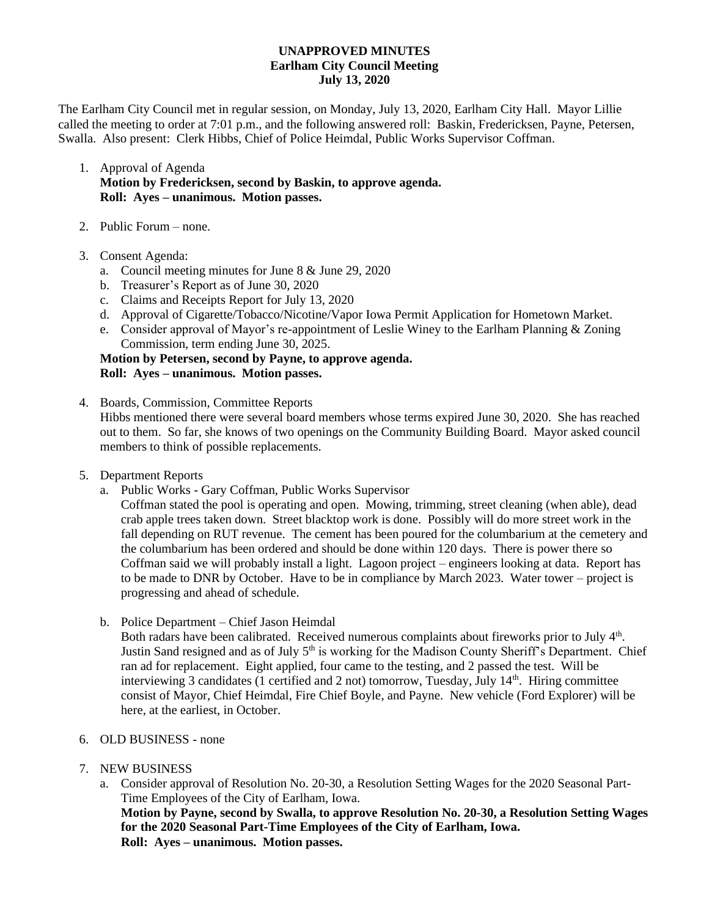#### **UNAPPROVED MINUTES Earlham City Council Meeting July 13, 2020**

The Earlham City Council met in regular session, on Monday, July 13, 2020, Earlham City Hall. Mayor Lillie called the meeting to order at 7:01 p.m., and the following answered roll: Baskin, Fredericksen, Payne, Petersen, Swalla. Also present: Clerk Hibbs, Chief of Police Heimdal, Public Works Supervisor Coffman.

- 1. Approval of Agenda **Motion by Fredericksen, second by Baskin, to approve agenda. Roll: Ayes – unanimous. Motion passes.**
- 2. Public Forum none.
- 3. Consent Agenda:
	- a. Council meeting minutes for June 8 & June 29, 2020
	- b. Treasurer's Report as of June 30, 2020
	- c. Claims and Receipts Report for July 13, 2020
	- d. Approval of Cigarette/Tobacco/Nicotine/Vapor Iowa Permit Application for Hometown Market.
	- e. Consider approval of Mayor's re-appointment of Leslie Winey to the Earlham Planning & Zoning Commission, term ending June 30, 2025.

### **Motion by Petersen, second by Payne, to approve agenda. Roll: Ayes – unanimous. Motion passes.**

- 4. Boards, Commission, Committee Reports Hibbs mentioned there were several board members whose terms expired June 30, 2020. She has reached out to them. So far, she knows of two openings on the Community Building Board. Mayor asked council members to think of possible replacements.
- 5. Department Reports
	- a. Public Works Gary Coffman, Public Works Supervisor

Coffman stated the pool is operating and open. Mowing, trimming, street cleaning (when able), dead crab apple trees taken down. Street blacktop work is done. Possibly will do more street work in the fall depending on RUT revenue. The cement has been poured for the columbarium at the cemetery and the columbarium has been ordered and should be done within 120 days. There is power there so Coffman said we will probably install a light. Lagoon project – engineers looking at data. Report has to be made to DNR by October. Have to be in compliance by March 2023. Water tower – project is progressing and ahead of schedule.

b. Police Department – Chief Jason Heimdal

Both radars have been calibrated. Received numerous complaints about fireworks prior to July 4<sup>th</sup>. Justin Sand resigned and as of July 5<sup>th</sup> is working for the Madison County Sheriff's Department. Chief ran ad for replacement. Eight applied, four came to the testing, and 2 passed the test. Will be interviewing 3 candidates (1 certified and 2 not) tomorrow, Tuesday, July 14<sup>th</sup>. Hiring committee consist of Mayor, Chief Heimdal, Fire Chief Boyle, and Payne. New vehicle (Ford Explorer) will be here, at the earliest, in October.

- 6. OLD BUSINESS none
- 7. NEW BUSINESS
	- a. Consider approval of Resolution No. 20-30, a Resolution Setting Wages for the 2020 Seasonal Part-Time Employees of the City of Earlham, Iowa. **Motion by Payne, second by Swalla, to approve Resolution No. 20-30, a Resolution Setting Wages for the 2020 Seasonal Part-Time Employees of the City of Earlham, Iowa. Roll: Ayes – unanimous. Motion passes.**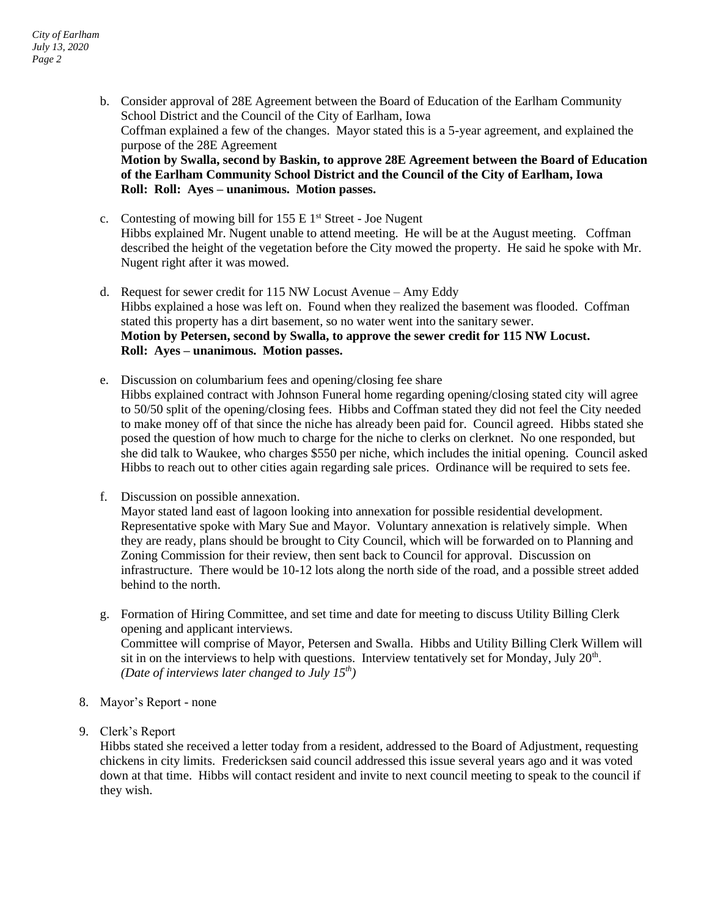- b. Consider approval of 28E Agreement between the Board of Education of the Earlham Community School District and the Council of the City of Earlham, Iowa Coffman explained a few of the changes. Mayor stated this is a 5-year agreement, and explained the purpose of the 28E Agreement **Motion by Swalla, second by Baskin, to approve 28E Agreement between the Board of Education of the Earlham Community School District and the Council of the City of Earlham, Iowa Roll: Roll: Ayes – unanimous. Motion passes.**
- c. Contesting of mowing bill for  $155 \text{ E } 1$ <sup>st</sup> Street Joe Nugent Hibbs explained Mr. Nugent unable to attend meeting. He will be at the August meeting. Coffman described the height of the vegetation before the City mowed the property. He said he spoke with Mr. Nugent right after it was mowed.
- d. Request for sewer credit for 115 NW Locust Avenue Amy Eddy Hibbs explained a hose was left on. Found when they realized the basement was flooded. Coffman stated this property has a dirt basement, so no water went into the sanitary sewer. **Motion by Petersen, second by Swalla, to approve the sewer credit for 115 NW Locust. Roll: Ayes – unanimous. Motion passes.**
- e. Discussion on columbarium fees and opening/closing fee share Hibbs explained contract with Johnson Funeral home regarding opening/closing stated city will agree to 50/50 split of the opening/closing fees. Hibbs and Coffman stated they did not feel the City needed to make money off of that since the niche has already been paid for. Council agreed. Hibbs stated she posed the question of how much to charge for the niche to clerks on clerknet. No one responded, but she did talk to Waukee, who charges \$550 per niche, which includes the initial opening. Council asked Hibbs to reach out to other cities again regarding sale prices. Ordinance will be required to sets fee.
- f. Discussion on possible annexation.

Mayor stated land east of lagoon looking into annexation for possible residential development. Representative spoke with Mary Sue and Mayor. Voluntary annexation is relatively simple. When they are ready, plans should be brought to City Council, which will be forwarded on to Planning and Zoning Commission for their review, then sent back to Council for approval. Discussion on infrastructure. There would be 10-12 lots along the north side of the road, and a possible street added behind to the north.

- g. Formation of Hiring Committee, and set time and date for meeting to discuss Utility Billing Clerk opening and applicant interviews. Committee will comprise of Mayor, Petersen and Swalla. Hibbs and Utility Billing Clerk Willem will sit in on the interviews to help with questions. Interview tentatively set for Monday, July  $20<sup>th</sup>$ . *(Date of interviews later changed to July 15th)*
- 8. Mayor's Report none
- 9. Clerk's Report

Hibbs stated she received a letter today from a resident, addressed to the Board of Adjustment, requesting chickens in city limits. Fredericksen said council addressed this issue several years ago and it was voted down at that time. Hibbs will contact resident and invite to next council meeting to speak to the council if they wish.